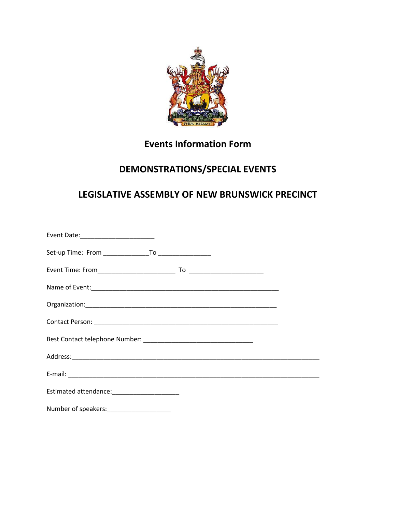

# **Events Information Form**

# **DEMONSTRATIONS/SPECIAL EVENTS**

## **LEGISLATIVE ASSEMBLY OF NEW BRUNSWICK PRECINCT**

| Estimated attendance: _______________________ |  |
|-----------------------------------------------|--|
| Number of speakers:______________________     |  |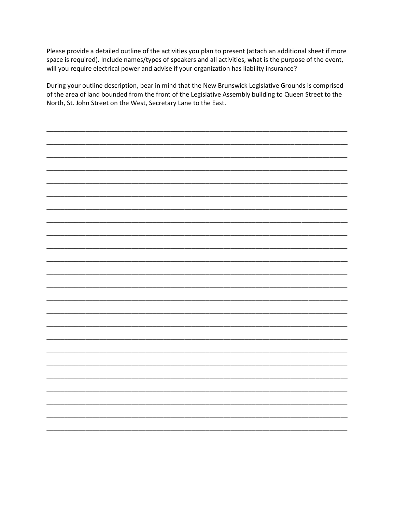Please provide a detailed outline of the activities you plan to present (attach an additional sheet if more space is required). Include names/types of speakers and all activities, what is the purpose of the event, will you require electrical power and advise if your organization has liability insurance?

During your outline description, bear in mind that the New Brunswick Legislative Grounds is comprised of the area of land bounded from the front of the Legislative Assembly building to Queen Street to the North, St. John Street on the West, Secretary Lane to the East.